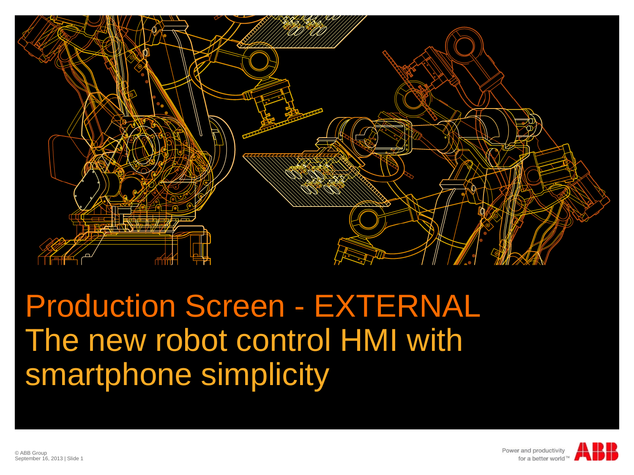

## Production Screen - EXTERNAL The new robot control HMI with smartphone simplicity



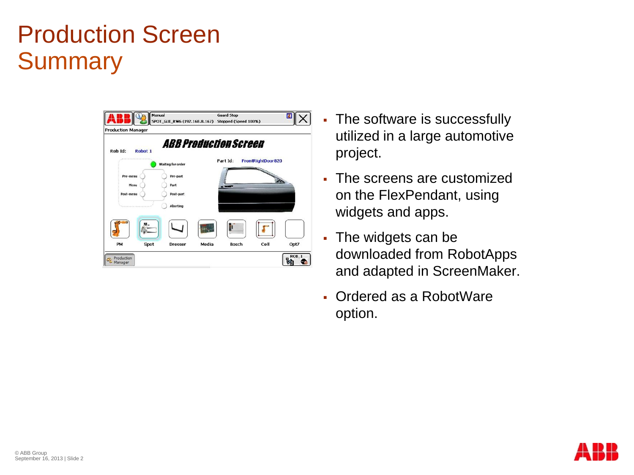### Production Screen **Summary**

| <b>Production Manager</b> |                    | Manual<br>SPOT_GUI_RW6 (192.168.8.167) Stopped (Speed 100%) |                               | <b>Guard Stop</b> |      | ĸ                |
|---------------------------|--------------------|-------------------------------------------------------------|-------------------------------|-------------------|------|------------------|
| Rob Id:                   | Robot <sub>1</sub> | <i><b>ABB Production Screen</b></i>                         |                               |                   |      |                  |
| *******************       |                    | Waiting for order                                           | Part Id:<br>FrontRightDoor820 |                   |      |                  |
| Pre-menu<br>Menu          |                    | Pre-part<br>Part                                            |                               | $-$               |      |                  |
| Post-menu                 |                    | Post-part                                                   |                               |                   |      |                  |
|                           |                    | Aborting                                                    |                               |                   |      |                  |
|                           |                    |                                                             |                               |                   |      |                  |
| PM                        | Spot               | <b>Dresser</b>                                              | Media                         | <b>Bosch</b>      | Cell | Opt7             |
| Production<br>Manager     |                    |                                                             |                               |                   |      | ROB <sub>1</sub> |

- The software is successfully utilized in a large automotive project.
- The screens are customized on the FlexPendant, using widgets and apps.
- The widgets can be downloaded from RobotApps and adapted in ScreenMaker.
- Ordered as a RobotWare option.

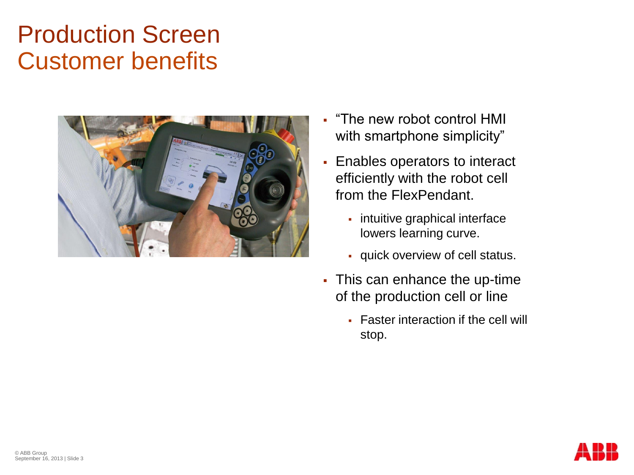### Production Screen Customer benefits



- "The new robot control HMI with smartphone simplicity"
- Enables operators to interact efficiently with the robot cell from the FlexPendant.
	- intuitive graphical interface lowers learning curve.
	- quick overview of cell status.
- This can enhance the up-time of the production cell or line
	- **Faster interaction if the cell will** stop.

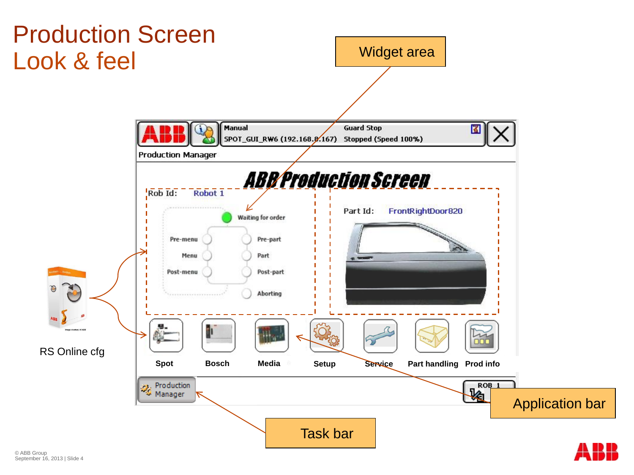

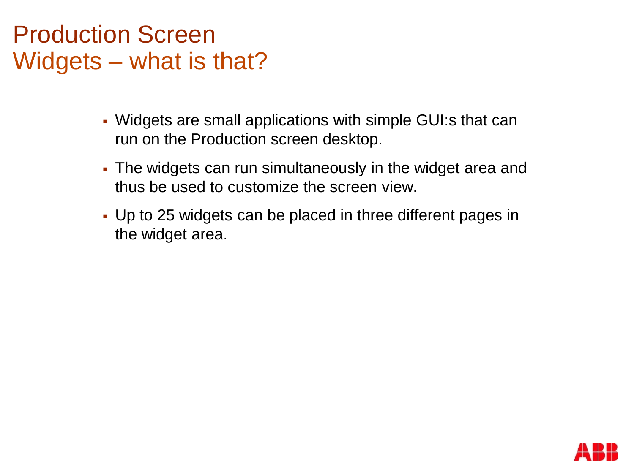### Production Screen Widgets – what is that?

- Widgets are small applications with simple GUI:s that can run on the Production screen desktop.
- The widgets can run simultaneously in the widget area and thus be used to customize the screen view.
- Up to 25 widgets can be placed in three different pages in the widget area.

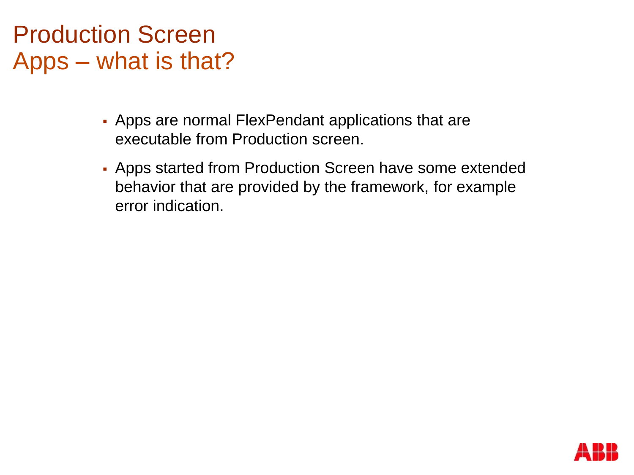#### Production Screen Apps – what is that?

- Apps are normal FlexPendant applications that are executable from Production screen.
- Apps started from Production Screen have some extended behavior that are provided by the framework, for example error indication.